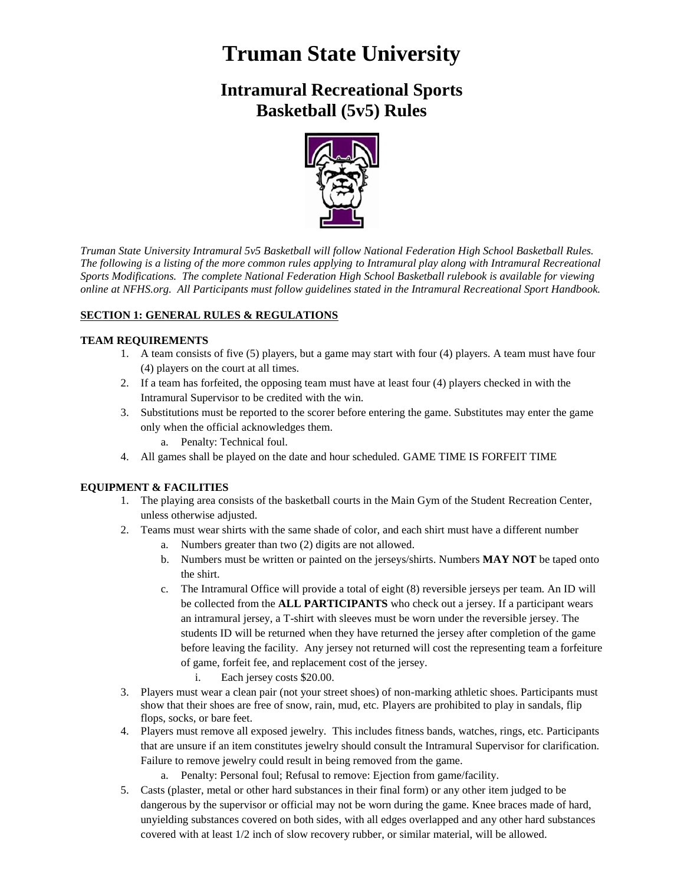# **Truman State University**

# **Intramural Recreational Sports Basketball (5v5) Rules**



*Truman State University Intramural 5v5 Basketball will follow National Federation High School Basketball Rules. The following is a listing of the more common rules applying to Intramural play along with Intramural Recreational Sports Modifications. The complete National Federation High School Basketball rulebook is available for viewing online at NFHS.org. All Participants must follow guidelines stated in the Intramural Recreational Sport Handbook.*

# **SECTION 1: GENERAL RULES & REGULATIONS**

# **TEAM REQUIREMENTS**

- 1. A team consists of five (5) players, but a game may start with four (4) players. A team must have four (4) players on the court at all times.
- 2. If a team has forfeited, the opposing team must have at least four (4) players checked in with the Intramural Supervisor to be credited with the win.
- 3. Substitutions must be reported to the scorer before entering the game. Substitutes may enter the game only when the official acknowledges them.
	- a. Penalty: Technical foul.
- 4. All games shall be played on the date and hour scheduled. GAME TIME IS FORFEIT TIME

# **EQUIPMENT & FACILITIES**

- 1. The playing area consists of the basketball courts in the Main Gym of the Student Recreation Center, unless otherwise adjusted.
- 2. Teams must wear shirts with the same shade of color, and each shirt must have a different number
	- a. Numbers greater than two (2) digits are not allowed.
	- b. Numbers must be written or painted on the jerseys/shirts. Numbers **MAY NOT** be taped onto the shirt.
	- c. The Intramural Office will provide a total of eight (8) reversible jerseys per team. An ID will be collected from the **ALL PARTICIPANTS** who check out a jersey. If a participant wears an intramural jersey, a T-shirt with sleeves must be worn under the reversible jersey. The students ID will be returned when they have returned the jersey after completion of the game before leaving the facility. Any jersey not returned will cost the representing team a forfeiture of game, forfeit fee, and replacement cost of the jersey.
		- i. Each jersey costs \$20.00.
- 3. Players must wear a clean pair (not your street shoes) of non-marking athletic shoes. Participants must show that their shoes are free of snow, rain, mud, etc. Players are prohibited to play in sandals, flip flops, socks, or bare feet.
- 4. Players must remove all exposed jewelry. This includes fitness bands, watches, rings, etc. Participants that are unsure if an item constitutes jewelry should consult the Intramural Supervisor for clarification. Failure to remove jewelry could result in being removed from the game.
	- a. Penalty: Personal foul; Refusal to remove: Ejection from game/facility.
- 5. Casts (plaster, metal or other hard substances in their final form) or any other item judged to be dangerous by the supervisor or official may not be worn during the game. Knee braces made of hard, unyielding substances covered on both sides, with all edges overlapped and any other hard substances covered with at least 1/2 inch of slow recovery rubber, or similar material, will be allowed.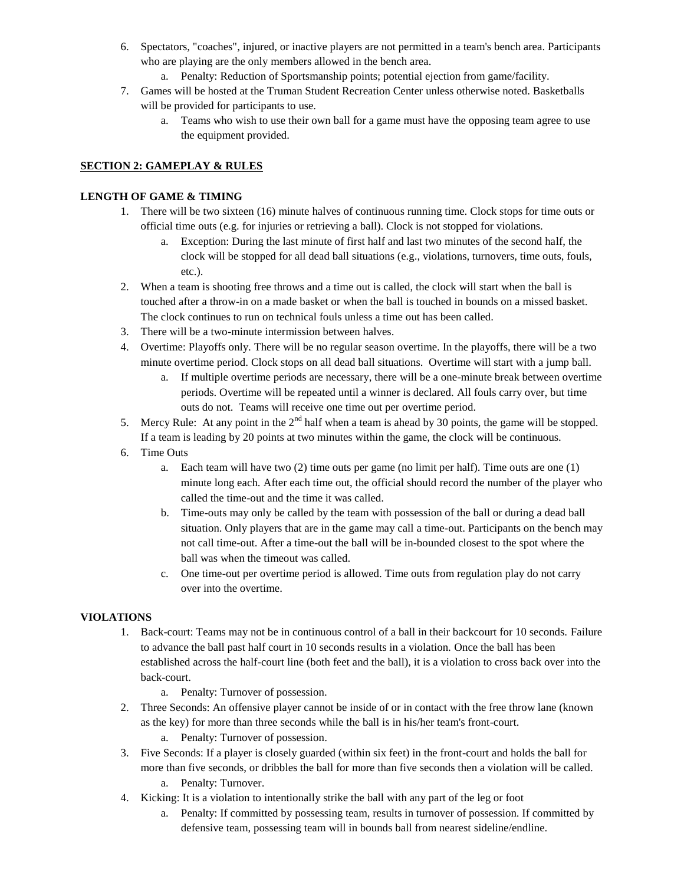- 6. Spectators, "coaches", injured, or inactive players are not permitted in a team's bench area. Participants who are playing are the only members allowed in the bench area.
	- a. Penalty: Reduction of Sportsmanship points; potential ejection from game/facility.
- 7. Games will be hosted at the Truman Student Recreation Center unless otherwise noted. Basketballs will be provided for participants to use.
	- a. Teams who wish to use their own ball for a game must have the opposing team agree to use the equipment provided.

### **SECTION 2: GAMEPLAY & RULES**

### **LENGTH OF GAME & TIMING**

- 1. There will be two sixteen (16) minute halves of continuous running time. Clock stops for time outs or official time outs (e.g. for injuries or retrieving a ball). Clock is not stopped for violations.
	- a. Exception: During the last minute of first half and last two minutes of the second half, the clock will be stopped for all dead ball situations (e.g., violations, turnovers, time outs, fouls, etc.).
- 2. When a team is shooting free throws and a time out is called, the clock will start when the ball is touched after a throw-in on a made basket or when the ball is touched in bounds on a missed basket. The clock continues to run on technical fouls unless a time out has been called.
- 3. There will be a two-minute intermission between halves.
- 4. Overtime: Playoffs only. There will be no regular season overtime. In the playoffs, there will be a two minute overtime period. Clock stops on all dead ball situations. Overtime will start with a jump ball.
	- a. If multiple overtime periods are necessary, there will be a one-minute break between overtime periods. Overtime will be repeated until a winner is declared. All fouls carry over, but time outs do not. Teams will receive one time out per overtime period.
- 5. Mercy Rule: At any point in the  $2<sup>nd</sup>$  half when a team is ahead by 30 points, the game will be stopped. If a team is leading by 20 points at two minutes within the game, the clock will be continuous.
- 6. Time Outs
	- a. Each team will have two (2) time outs per game (no limit per half). Time outs are one (1) minute long each. After each time out, the official should record the number of the player who called the time-out and the time it was called.
	- b. Time-outs may only be called by the team with possession of the ball or during a dead ball situation. Only players that are in the game may call a time-out. Participants on the bench may not call time-out. After a time-out the ball will be in-bounded closest to the spot where the ball was when the timeout was called.
	- c. One time-out per overtime period is allowed. Time outs from regulation play do not carry over into the overtime.

# **VIOLATIONS**

- 1. Back-court: Teams may not be in continuous control of a ball in their backcourt for 10 seconds. Failure to advance the ball past half court in 10 seconds results in a violation. Once the ball has been established across the half-court line (both feet and the ball), it is a violation to cross back over into the back-court.
	- a. Penalty: Turnover of possession.
- 2. Three Seconds: An offensive player cannot be inside of or in contact with the free throw lane (known as the key) for more than three seconds while the ball is in his/her team's front-court.
	- a. Penalty: Turnover of possession.
- 3. Five Seconds: If a player is closely guarded (within six feet) in the front-court and holds the ball for more than five seconds, or dribbles the ball for more than five seconds then a violation will be called.
	- a. Penalty: Turnover.
- 4. Kicking: It is a violation to intentionally strike the ball with any part of the leg or foot
	- a. Penalty: If committed by possessing team, results in turnover of possession. If committed by defensive team, possessing team will in bounds ball from nearest sideline/endline.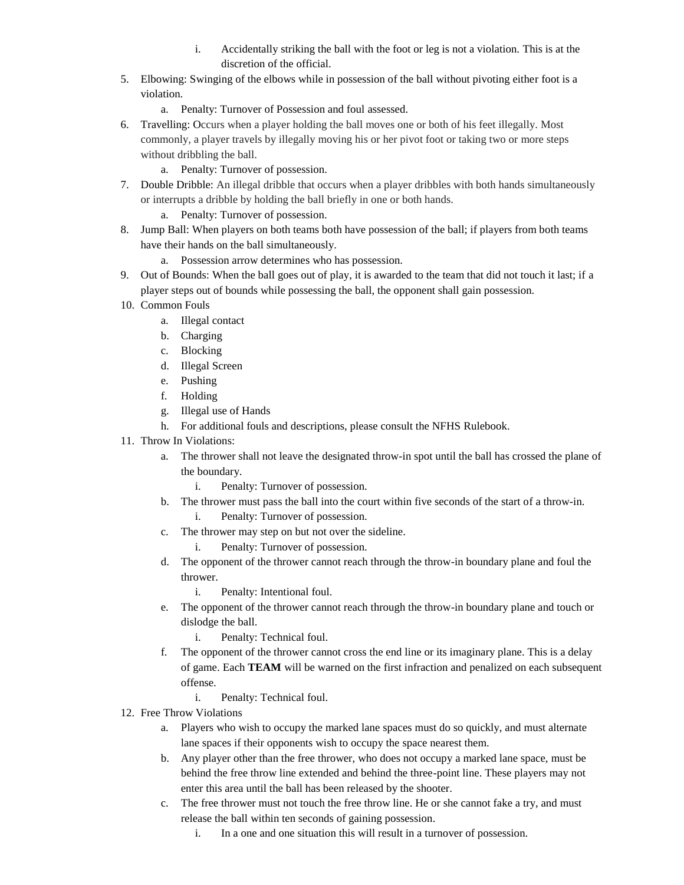- i. Accidentally striking the ball with the foot or leg is not a violation. This is at the discretion of the official.
- 5. Elbowing: Swinging of the elbows while in possession of the ball without pivoting either foot is a violation.
	- a. Penalty: Turnover of Possession and foul assessed.
- 6. Travelling: Occurs when a player holding the ball moves one or both of his feet illegally. Most commonly, a player travels by illegally moving his or her pivot foot or taking two or more steps without dribbling the ball.
	- a. Penalty: Turnover of possession.
- 7. Double Dribble: An illegal dribble that occurs when a player dribbles with both hands simultaneously or interrupts a dribble by holding the ball briefly in one or both hands.
	- a. Penalty: Turnover of possession.
- 8. Jump Ball: When players on both teams both have possession of the ball; if players from both teams have their hands on the ball simultaneously.
	- a. Possession arrow determines who has possession.
- 9. Out of Bounds: When the ball goes out of play, it is awarded to the team that did not touch it last; if a player steps out of bounds while possessing the ball, the opponent shall gain possession.
- 10. Common Fouls
	- a. Illegal contact
	- b. Charging
	- c. Blocking
	- d. Illegal Screen
	- e. Pushing
	- f. Holding
	- g. Illegal use of Hands
	- h. For additional fouls and descriptions, please consult the NFHS Rulebook.
- 11. Throw In Violations:
	- a. The thrower shall not leave the designated throw-in spot until the ball has crossed the plane of the boundary.
		- i. Penalty: Turnover of possession.
	- b. The thrower must pass the ball into the court within five seconds of the start of a throw-in. i. Penalty: Turnover of possession.
	- c. The thrower may step on but not over the sideline.
		- i. Penalty: Turnover of possession.
	- d. The opponent of the thrower cannot reach through the throw-in boundary plane and foul the thrower.
		- i. Penalty: Intentional foul.
	- e. The opponent of the thrower cannot reach through the throw-in boundary plane and touch or dislodge the ball.
		- i. Penalty: Technical foul.
	- f. The opponent of the thrower cannot cross the end line or its imaginary plane. This is a delay of game. Each **TEAM** will be warned on the first infraction and penalized on each subsequent offense.
		- i. Penalty: Technical foul.
- 12. Free Throw Violations
	- a. Players who wish to occupy the marked lane spaces must do so quickly, and must alternate lane spaces if their opponents wish to occupy the space nearest them.
	- b. Any player other than the free thrower, who does not occupy a marked lane space, must be behind the free throw line extended and behind the three-point line. These players may not enter this area until the ball has been released by the shooter.
	- c. The free thrower must not touch the free throw line. He or she cannot fake a try, and must release the ball within ten seconds of gaining possession.
		- i. In a one and one situation this will result in a turnover of possession.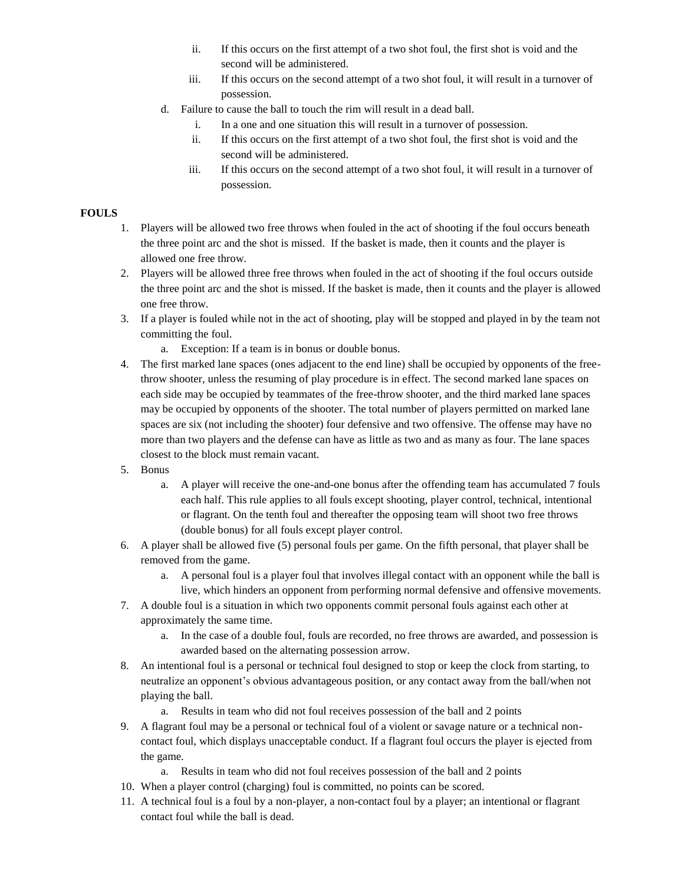- ii. If this occurs on the first attempt of a two shot foul, the first shot is void and the second will be administered.
- iii. If this occurs on the second attempt of a two shot foul, it will result in a turnover of possession.
- d. Failure to cause the ball to touch the rim will result in a dead ball.
	- i. In a one and one situation this will result in a turnover of possession.
	- ii. If this occurs on the first attempt of a two shot foul, the first shot is void and the second will be administered.
	- iii. If this occurs on the second attempt of a two shot foul, it will result in a turnover of possession.

#### **FOULS**

- 1. Players will be allowed two free throws when fouled in the act of shooting if the foul occurs beneath the three point arc and the shot is missed. If the basket is made, then it counts and the player is allowed one free throw.
- 2. Players will be allowed three free throws when fouled in the act of shooting if the foul occurs outside the three point arc and the shot is missed. If the basket is made, then it counts and the player is allowed one free throw.
- 3. If a player is fouled while not in the act of shooting, play will be stopped and played in by the team not committing the foul.
	- a. Exception: If a team is in bonus or double bonus.
- 4. The first marked lane spaces (ones adjacent to the end line) shall be occupied by opponents of the freethrow shooter, unless the resuming of play procedure is in effect. The second marked lane spaces on each side may be occupied by teammates of the free-throw shooter, and the third marked lane spaces may be occupied by opponents of the shooter. The total number of players permitted on marked lane spaces are six (not including the shooter) four defensive and two offensive. The offense may have no more than two players and the defense can have as little as two and as many as four. The lane spaces closest to the block must remain vacant.
- 5. Bonus
	- a. A player will receive the one-and-one bonus after the offending team has accumulated 7 fouls each half. This rule applies to all fouls except shooting, player control, technical, intentional or flagrant. On the tenth foul and thereafter the opposing team will shoot two free throws (double bonus) for all fouls except player control.
- 6. A player shall be allowed five (5) personal fouls per game. On the fifth personal, that player shall be removed from the game.
	- a. A personal foul is a player foul that involves illegal contact with an opponent while the ball is live, which hinders an opponent from performing normal defensive and offensive movements.
- 7. A double foul is a situation in which two opponents commit personal fouls against each other at approximately the same time.
	- a. In the case of a double foul, fouls are recorded, no free throws are awarded, and possession is awarded based on the alternating possession arrow.
- 8. An intentional foul is a personal or technical foul designed to stop or keep the clock from starting, to neutralize an opponent's obvious advantageous position, or any contact away from the ball/when not playing the ball.
	- a. Results in team who did not foul receives possession of the ball and 2 points
- 9. A flagrant foul may be a personal or technical foul of a violent or savage nature or a technical noncontact foul, which displays unacceptable conduct. If a flagrant foul occurs the player is ejected from the game.
	- a. Results in team who did not foul receives possession of the ball and 2 points
- 10. When a player control (charging) foul is committed, no points can be scored.
- 11. A technical foul is a foul by a non-player, a non-contact foul by a player; an intentional or flagrant contact foul while the ball is dead.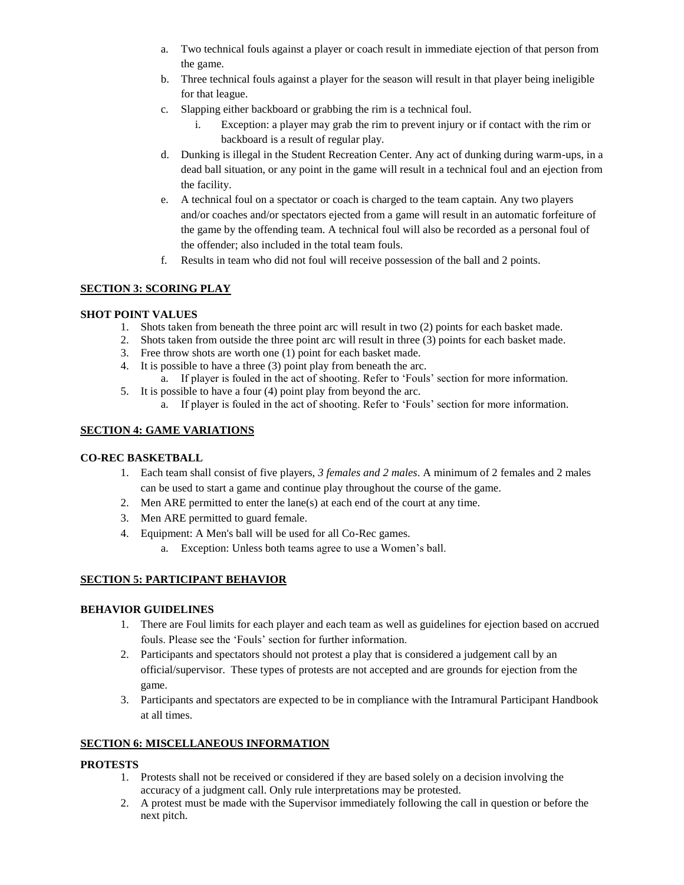- a. Two technical fouls against a player or coach result in immediate ejection of that person from the game.
- b. Three technical fouls against a player for the season will result in that player being ineligible for that league.
- c. Slapping either backboard or grabbing the rim is a technical foul.
	- i. Exception: a player may grab the rim to prevent injury or if contact with the rim or backboard is a result of regular play.
- d. Dunking is illegal in the Student Recreation Center. Any act of dunking during warm-ups, in a dead ball situation, or any point in the game will result in a technical foul and an ejection from the facility.
- e. A technical foul on a spectator or coach is charged to the team captain. Any two players and/or coaches and/or spectators ejected from a game will result in an automatic forfeiture of the game by the offending team. A technical foul will also be recorded as a personal foul of the offender; also included in the total team fouls.
- f. Results in team who did not foul will receive possession of the ball and 2 points.

# **SECTION 3: SCORING PLAY**

#### **SHOT POINT VALUES**

- 1. Shots taken from beneath the three point arc will result in two (2) points for each basket made.
- 2. Shots taken from outside the three point arc will result in three (3) points for each basket made.
- 3. Free throw shots are worth one (1) point for each basket made.
- 4. It is possible to have a three (3) point play from beneath the arc.
	- a. If player is fouled in the act of shooting. Refer to 'Fouls' section for more information.
- 5. It is possible to have a four (4) point play from beyond the arc.
	- a. If player is fouled in the act of shooting. Refer to 'Fouls' section for more information.

### **SECTION 4: GAME VARIATIONS**

#### **CO-REC BASKETBALL**

- 1. Each team shall consist of five players, *3 females and 2 males*. A minimum of 2 females and 2 males can be used to start a game and continue play throughout the course of the game.
- 2. Men ARE permitted to enter the lane(s) at each end of the court at any time.
- 3. Men ARE permitted to guard female.
- 4. Equipment: A Men's ball will be used for all Co-Rec games.
	- a. Exception: Unless both teams agree to use a Women's ball.

#### **SECTION 5: PARTICIPANT BEHAVIOR**

#### **BEHAVIOR GUIDELINES**

- 1. There are Foul limits for each player and each team as well as guidelines for ejection based on accrued fouls. Please see the 'Fouls' section for further information.
- 2. Participants and spectators should not protest a play that is considered a judgement call by an official/supervisor. These types of protests are not accepted and are grounds for ejection from the game.
- 3. Participants and spectators are expected to be in compliance with the Intramural Participant Handbook at all times.

#### **SECTION 6: MISCELLANEOUS INFORMATION**

#### **PROTESTS**

- 1. Protests shall not be received or considered if they are based solely on a decision involving the accuracy of a judgment call. Only rule interpretations may be protested.
- 2. A protest must be made with the Supervisor immediately following the call in question or before the next pitch.